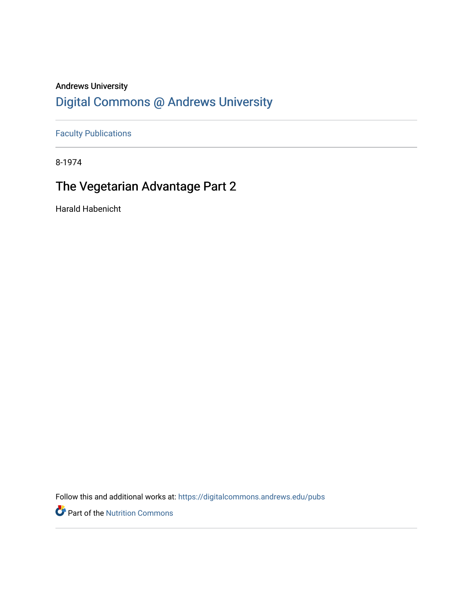## Andrews University [Digital Commons @ Andrews University](https://digitalcommons.andrews.edu/)

[Faculty Publications](https://digitalcommons.andrews.edu/pubs)

8-1974

## The Vegetarian Advantage Part 2

Harald Habenicht

Follow this and additional works at: [https://digitalcommons.andrews.edu/pubs](https://digitalcommons.andrews.edu/pubs?utm_source=digitalcommons.andrews.edu%2Fpubs%2F3683&utm_medium=PDF&utm_campaign=PDFCoverPages) 

Part of the [Nutrition Commons](http://network.bepress.com/hgg/discipline/95?utm_source=digitalcommons.andrews.edu%2Fpubs%2F3683&utm_medium=PDF&utm_campaign=PDFCoverPages)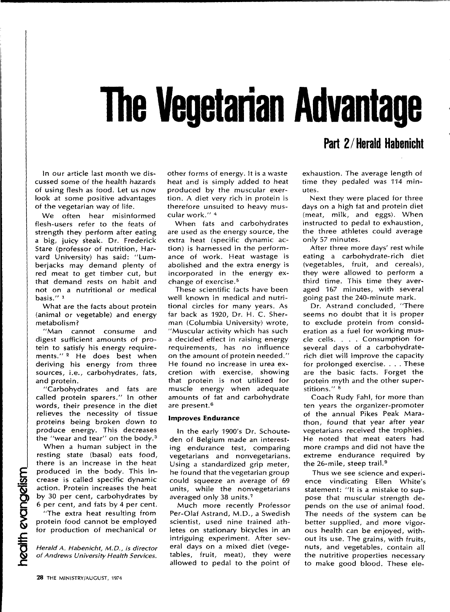# **The Vegetarian Advantage**

In our article last month we dis cussed some of the health hazards of using flesh as food. Let us now look at some positive advantages of the vegetarian way of life.

We often hear misinformed flesh-users refer to the feats of strength they perform after eating a big, juicy s'teak. Dr. Frederick Stare (professor of nutrition, Har vard University) has said: "Lum berjacks may demand plenty of red meat to get timber cut, but that demand rests on habit and not on a nutritional or medical basis."<sup>1</sup>

What are the facts about protein (animal or vegetable) and energy metabolism?

"Man cannot consume and digest sufficient amounts of pro tein to satisfy his energy require ments." 2 He does best when deriving his energy from three sources, i.e., carbohydrates, fats, and protein.

"Carbohydrates and fats are called protein sparers." In other words, their presence in the diet relieves the necessity of tissue proteins being broken down to produce energy. This decreases the "wear and tear" on the body.<sup>3</sup>

When a human subject in the resting state (basal) eats food, there is an increase in the heat produced in the body. This in crease is called specific dynamic action. Protein increases the heat by 30 per cent, carbohydrates by 6 per cent, and fats by 4 per cent.

"The extra heat resulting from protein food cannot be employed for production of mechanical or

*Herald A. Habenicht, M.D., is director of Andrews University Health Services.*

other forms of energy. It is a waste heat and is simply added to heat produced by the muscular exer tion. A diet very rich in protein is therefore unsuited to heavy mus cular work." 4

When fats and carbohydrates are used as the energy source, the extra heat (specific dynamic ac tion) is harnessed in the perform ance of work. Heat wastage is abolished and the extra energy is incorporated in the energy ex change of exercise. <sup>5</sup>

These scientific facts have been well known in medical and nutri tional circles for many years. As far back as 1920, Dr. H. C. Sherman (Columbia University) wrote, "Muscular activity which has such a decided effect in raising energy requirements, has no influence on the amount of protein needed." He found no increase in urea ex cretion with exercise, showing that protein is not utilized for muscle energy when adequate amounts of fat and carbohydrate are present. <sup>6</sup>

#### **Improves Endurance**

In the early 1900's Dr. Schouteden of Belgium made an interest ing endurance test, comparing vegetarians and nonvegetarians. Using a standardized grip meter, he found that the vegetarian group could squeeze an average of 69 units, while the nonvegetarians averaged only 38 units. <sup>7</sup>

Much more recently Professor Per-Olaf Astrand, M.D., a Swedish scientist, used nine trained ath letes on stationary bicycles in an intriguing experiment. After sev eral days on a mixed diet (vege tables, fruit, meat), they were allowed to pedal to the point of

## Part 2/Herald Habenicht

exhaustion. The average length of time they pedaled was 114 min utes.

Next they were placed for three days on a high fat and protein diet (meat, milk, and eggs). When instructed to pedal to exhaustion, the three athletes could average only 57 minutes.

After three more days' rest while eating a carbohydrate-rich diet (vegetables, fruit, and cereals), they were allowed to perform a third time. This time they aver aged 167 minutes, with several going past the 240-minute mark.

Dr. Astrand concluded, "There seems no doubt that it is proper to exclude protein from consid eration as a fuel for working mus cle cells. . . . Consumption for several days of a carbohydraterich diet will improve the capacity for prolonged exercise. . . . These are the basic facts. Forget the protein myth and the other super stitions." 8

Coach Rudy Fahl, for more than ten years the organizer-promoter of the annual Pikes Peak Mara thon, found that year after year vegetarians received the trophies. He noted that meat eaters had more cramps and did not have the extreme endurance required by the 26-mile, steep trail. <sup>9</sup>

Thus we see science and experi ence vindicating Ellen White's statement: "It is a mistake to sup pose that muscular strength de pends on the use of animal food. The needs of the system can be better supplied, and more vigor ous health can be enjoyed, with out its use. The grains, with fruits, nuts, and vegetables, contain all the nutritive properties necessary to make good blood. These ele-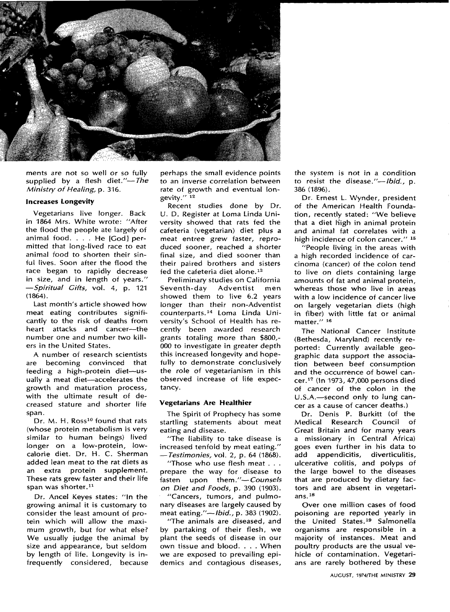

ments are not so well or so fully supplied by a flesh diet."-The *Ministry of Healing*, p. 316.

#### **Increases Longevity**

Vegetarians live longer. Back in 1864 Mrs. White wrote: "After the flood the people ate largely of animal food. ... He [God] per mitted that long-lived race to eat animal food to shorten their sin ful lives. Soon after the flood the race began to rapidly decrease in size, and in length of years." *<i>P Spiritual Gifts, vol. 4, p. 121* (1864).

Last month's article showed how meat eating contributes signifi cantly to the risk of deaths from heart attacks and cancer---the number one and number two kill ers in the United States.

A number of research scientists are becoming convinced that feeding a high-protein diet-usually a meat diet-accelerates the growth and maturation process, with the ultimate result of de creased stature and shorter life span.

Dr. M. H. Ross<sup>10</sup> found that rats (whose protein metabolism is very similar to human beings) lived longer on a low-protein, lowcalorie diet. Dr. H. C. Sherman added lean meat to the rat diets as an extra protein supplement. These rats grew faster and their life span was shorter.<sup>11</sup>

Dr. Ancel Keyes states: "In the growing animal it is customary to consider the least amount of pro tein which will allow the maxi mum growth, but for what else? We usually judge the animal by size and appearance, but seldom by length of life. Longevity is in frequently considered, because

perhaps the small evidence points to an inverse correlation between rate of growth and eventual lon gevity." 12

Recent studies done by Dr. U. D. Register at Loma Linda Uni versity showed that rats fed the cafeteria (vegetarian) diet plus a meat entree grew faster, repro duced sooner, reached a shorter final size, and died sooner than their paired brothers and sisters fed the cafeteria diet alone. <sup>13</sup>

Preliminary studies on California Seventh-day Adventist men showed them to live 6.2 years longer than their non-Adventist counterparts. 14 Loma Linda Uni versity's School of Health has re cently been awarded research grants totaling more than \$800,- 000 to investigate in greater depth this increased longevity and hope fully to demonstrate conclusively the role of vegetarianism in this observed increase of life expec tancy.

#### **Vegetarians Are Healthier**

The Spirit of Prophecy has some startling statements about meat eating and disease.

"The liability to take disease is increased tenfold by meat eating." The liability to take disease is<br>increased tenfold by meat eating."<br>*-Testimonies,* vol. 2, p. 64 (1868).<br>"These who use flesh meat"

"Those who use flesh meat  $\dots$ prepare the way for disease to fasten upon them."-Counsels *on Diet and Foods, p. 390 (1903).* "Cancers, tumors, and pulmo nary diseases are largely caused by meat eating."—*Ibid.*, p. 383 (1902).

"The animals are diseased, and by partaking of their flesh, we plant the seeds of disease in our own tissue and blood. . . . When we are exposed to prevailing epi demics and contagious diseases, the system is not in a condition to resist the disease."-*Ibid.*, p. 386 (1896).

Dr. Ernest L. Wynder, president of the American Health Founda tion, recently stated: "We believe that a diet high in animal protein and animal fat correlates with a high incidence of colon cancer." <sup>15</sup>

"People living in the areas with a high recorded incidence of car cinoma (cancer) of the colon tend to live on diets containing large amounts of fat and animal protein, whereas those who live in areas with a low incidence of cancer live on largely vegetarian diets (high in fiber) with little fat or animal matter." 16

The National Cancer Institute (Bethesda, Maryland) recently re ported: Currently available geo graphic data support the associa tion between beef consumption and the occurrence of bowel can cer. 17 (In 1973, 47,000 persons died of cancer of the colon in the U.S.A.-second only to lung cancer as a cause of cancer deaths.)

Dr. Denis P. Burkitt (of the Medical Research Council of Great Britain and for many years a missionary in Central Africa) goes even further in his data to add appendicitis, diverticulitis, ulcerative colitis, and polyps of the large bowel to the diseases that are produced by dietary fac tors and are absent in vegetari ans. <sup>18</sup>

Over one million cases of food poisoning are reported yearly in the United States. 19 Salmonella organisms are responsible in a majority of instances. Meat and poultry products are the usual ve hicle of contamination. Vegetari ans are rarely bothered by these